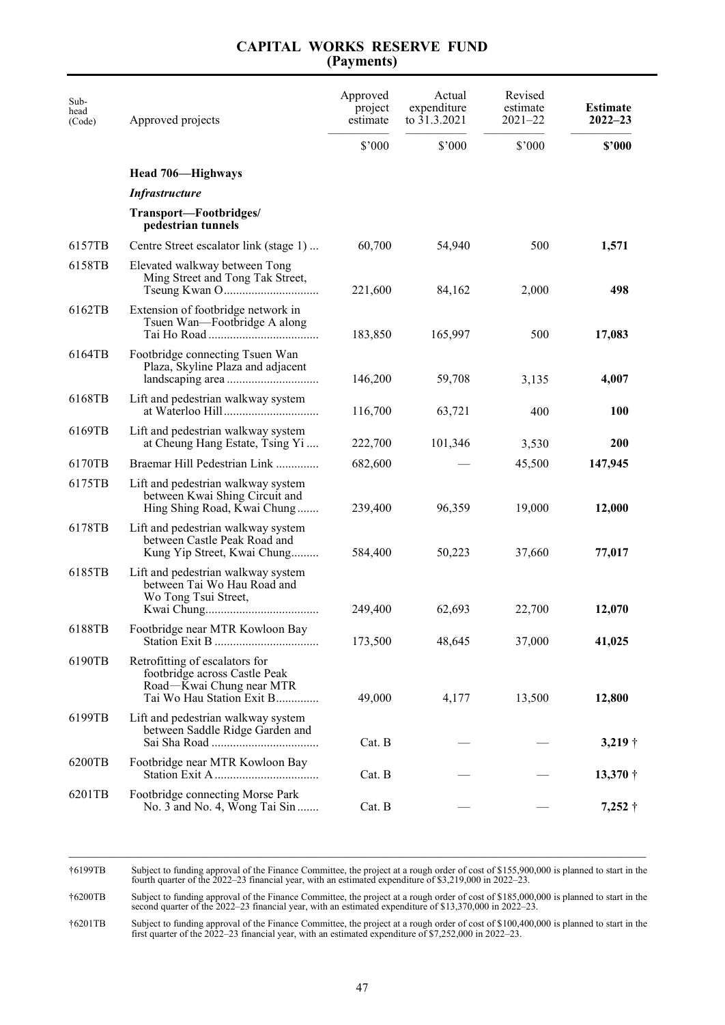| Sub-<br>head<br>(Code) | Approved projects                                                                                                        | Approved<br>project<br>estimate | Actual<br>expenditure<br>to 31.3.2021 | Revised<br>estimate<br>$2021 - 22$ | <b>Estimate</b><br>$2022 - 23$ |
|------------------------|--------------------------------------------------------------------------------------------------------------------------|---------------------------------|---------------------------------------|------------------------------------|--------------------------------|
|                        |                                                                                                                          | \$'000                          | \$'000                                | \$'000                             | \$'000                         |
|                        | Head 706—Highways                                                                                                        |                                 |                                       |                                    |                                |
|                        | <b>Infrastructure</b>                                                                                                    |                                 |                                       |                                    |                                |
|                        | Transport—Footbridges/<br>pedestrian tunnels                                                                             |                                 |                                       |                                    |                                |
| 6157TB                 | Centre Street escalator link (stage 1)                                                                                   | 60,700                          | 54,940                                | 500                                | 1,571                          |
| 6158TB                 | Elevated walkway between Tong<br>Ming Street and Tong Tak Street,                                                        | 221,600                         | 84,162                                | 2,000                              | 498                            |
| 6162TB                 | Extension of footbridge network in<br>Tsuen Wan—Footbridge A along                                                       | 183,850                         | 165,997                               | 500                                | 17,083                         |
| 6164TB                 | Footbridge connecting Tsuen Wan<br>Plaza, Skyline Plaza and adjacent                                                     | 146,200                         | 59,708                                | 3,135                              | 4,007                          |
| 6168TB                 | Lift and pedestrian walkway system                                                                                       | 116,700                         | 63,721                                | 400                                | <b>100</b>                     |
| 6169TB                 | Lift and pedestrian walkway system<br>at Cheung Hang Estate, Tsing Yi                                                    | 222,700                         | 101,346                               | 3,530                              | <b>200</b>                     |
| 6170TB                 | Braemar Hill Pedestrian Link                                                                                             | 682,600                         |                                       | 45,500                             | 147,945                        |
| 6175TB                 | Lift and pedestrian walkway system<br>between Kwai Shing Circuit and<br>Hing Shing Road, Kwai Chung                      | 239,400                         | 96,359                                | 19,000                             | 12,000                         |
| 6178TB                 | Lift and pedestrian walkway system<br>between Castle Peak Road and<br>Kung Yip Street, Kwai Chung                        | 584,400                         | 50,223                                | 37,660                             | 77,017                         |
| 6185TB                 | Lift and pedestrian walkway system<br>between Tai Wo Hau Road and<br>Wo Tong Tsui Street,                                | 249,400                         | 62,693                                | 22,700                             | 12,070                         |
| 6188TB                 | Footbridge near MTR Kowloon Bay                                                                                          | 173,500                         | 48,645                                | 37,000                             | 41,025                         |
| 6190TB                 | Retrofitting of escalators for<br>footbridge across Castle Peak<br>Road-Kwai Chung near MTR<br>Tai Wo Hau Station Exit B | 49,000                          | 4,177                                 | 13,500                             | 12,800                         |
| 6199TB                 | Lift and pedestrian walkway system<br>between Saddle Ridge Garden and                                                    | Cat. B                          |                                       |                                    | $3,219$ †                      |
| 6200TB                 | Footbridge near MTR Kowloon Bay                                                                                          | Cat. B                          |                                       |                                    | $13,370\dagger$                |
| 6201TB                 | Footbridge connecting Morse Park<br>No. 3 and No. 4, Wong Tai Sin                                                        | Cat. B                          |                                       |                                    | $7,252$ †                      |

 $\mathcal{L}_\mathcal{L} = \mathcal{L}_\mathcal{L}$ †6199TB Subject to funding approval of the Finance Committee, the project at a rough order of cost of \$155,900,000 is planned to start in the fourth quarter of the 2022–23 financial year, with an estimated expenditure of \$3,219,000 in 2022–23.

†6200TB Subject to funding approval of the Finance Committee, the project at a rough order of cost of \$185,000,000 is planned to start in the second quarter of the 2022–23 financial year, with an estimated expenditure of \$13,370,000 in 2022–23.

†6201TB Subject to funding approval of the Finance Committee, the project at a rough order of cost of \$100,400,000 is planned to start in the first quarter of the 2022–23 financial year, with an estimated expenditure of \$7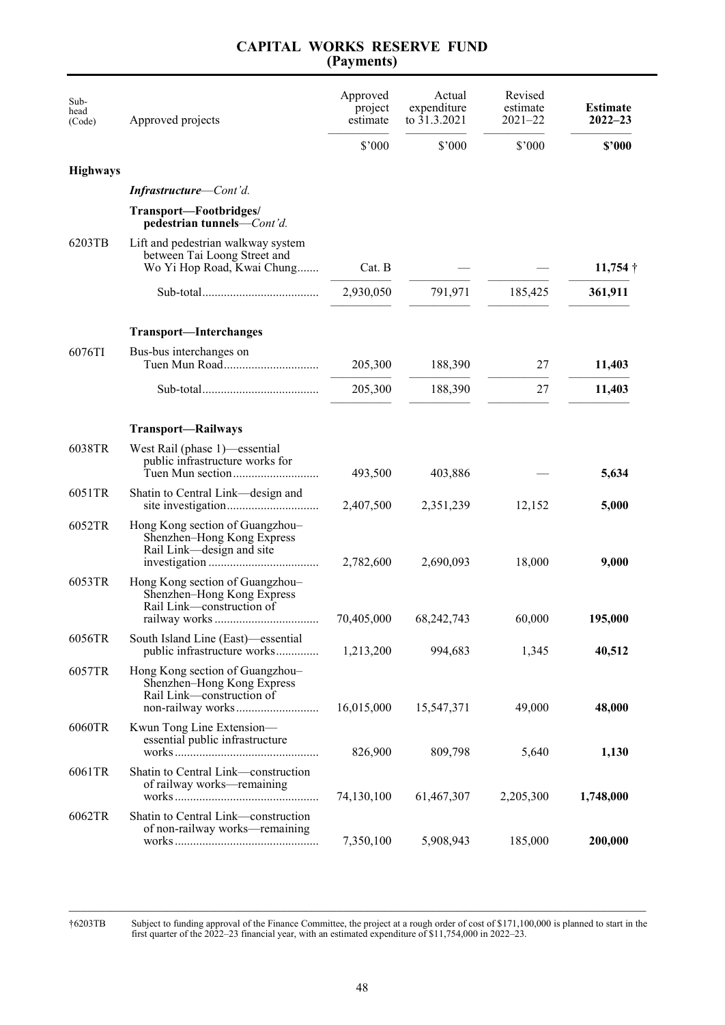| Sub-<br>head<br>(Code) | Approved projects                                                                                | Approved<br>project<br>estimate | Actual<br>expenditure<br>to 31.3.2021 | Revised<br>estimate<br>$2021 - 22$ | <b>Estimate</b><br>$2022 - 23$ |
|------------------------|--------------------------------------------------------------------------------------------------|---------------------------------|---------------------------------------|------------------------------------|--------------------------------|
|                        |                                                                                                  | \$'000                          | \$'000                                | \$'000                             | \$'000                         |
| <b>Highways</b>        |                                                                                                  |                                 |                                       |                                    |                                |
|                        | <b>Infrastructure</b> —Cont'd.                                                                   |                                 |                                       |                                    |                                |
|                        | Transport-Footbridges/<br>pedestrian tunnels—Cont'd.                                             |                                 |                                       |                                    |                                |
| 6203TB                 | Lift and pedestrian walkway system<br>between Tai Loong Street and<br>Wo Yi Hop Road, Kwai Chung | Cat. B                          |                                       |                                    | $11,754$ †                     |
|                        |                                                                                                  | 2,930,050                       | 791,971                               | 185,425                            | 361,911                        |
|                        | <b>Transport-Interchanges</b>                                                                    |                                 |                                       |                                    |                                |
| 6076TI                 | Bus-bus interchanges on<br>Tuen Mun Road                                                         | 205,300                         | 188,390                               | 27                                 | 11,403                         |
|                        |                                                                                                  | 205,300                         | 188,390                               | 27                                 | 11,403                         |
|                        | <b>Transport-Railways</b>                                                                        |                                 |                                       |                                    |                                |
| 6038TR                 | West Rail (phase 1)—essential<br>public infrastructure works for<br>Tuen Mun section             | 493,500                         | 403,886                               |                                    | 5,634                          |
| 6051TR                 | Shatin to Central Link—design and                                                                | 2,407,500                       | 2,351,239                             | 12,152                             | 5,000                          |
| 6052TR                 | Hong Kong section of Guangzhou-<br>Shenzhen-Hong Kong Express<br>Rail Link-design and site       | 2,782,600                       | 2,690,093                             | 18,000                             | 9,000                          |
| 6053TR                 | Hong Kong section of Guangzhou-<br>Shenzhen-Hong Kong Express<br>Rail Link-construction of       | 70,405,000                      | 68, 242, 743                          | 60,000                             | 195,000                        |
| 6056TR                 | South Island Line (East)—essential<br>public infrastructure works                                | 1,213,200                       | 994,683                               | 1,345                              | 40,512                         |
| 6057TR                 | Hong Kong section of Guangzhou-<br>Shenzhen-Hong Kong Express<br>Rail Link-construction of       | 16,015,000                      | 15,547,371                            | 49,000                             | 48,000                         |
| 6060TR                 | Kwun Tong Line Extension—<br>essential public infrastructure                                     | 826,900                         | 809,798                               | 5,640                              | 1,130                          |
| 6061TR                 | Shatin to Central Link-construction<br>of railway works-remaining                                | 74,130,100                      | 61,467,307                            | 2,205,300                          | 1,748,000                      |
| 6062TR                 | Shatin to Central Link-construction<br>of non-railway works-remaining                            | 7,350,100                       | 5,908,943                             | 185,000                            | 200,000                        |

†6203TB Subject to funding approval of the Finance Committee, the project at a rough order of cost of \$171,100,000 is planned to start in the first quarter of the 2022–23 financial year, with an estimated expenditure of \$1

\_\_\_\_\_\_\_\_\_\_\_\_\_\_\_\_\_\_\_\_\_\_\_\_\_\_\_\_\_\_\_\_\_\_\_\_\_\_\_\_\_\_\_\_\_\_\_\_\_\_\_\_\_\_\_\_\_\_\_\_\_\_\_\_\_\_\_\_\_\_\_\_\_\_\_\_\_\_\_\_\_\_\_\_\_\_\_\_\_\_\_\_\_\_\_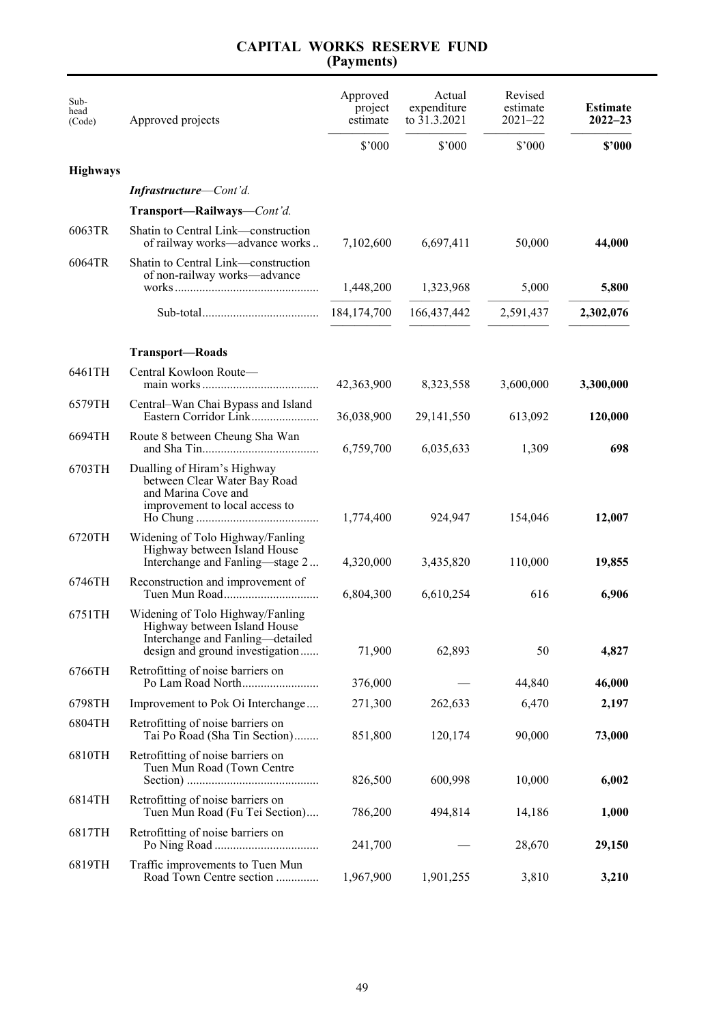#### Subhead (Code) Approved projects Approved project estimate Actual expenditure to 31.3.2021 Revised estimate 2021–22 **Estimate 2022–23** ————— ————— ————— ————— \$'000 \$'000 \$'000 **\$'000 Highways** *Infrastructure*—*Cont'd.* **Transport—Railways**—*Cont'd.* 6063TR Shatin to Central Link—construction of railway works—advance works...........7,102,600 6,697,411 50,000 **44,000** 6064TR Shatin to Central Link—construction of non-railway works—advance works........................................................1,448,200 1,323,968 5,000 **5,800** ————— ————— ————— ————— Sub-total............................................... 184,174,700 166,437,442 2,591,437 **2,302,076** ————— ————— ————— ————— **Transport—Roads** 6461TH Central Kowloon Route main works............................................... 42,363,900 8,323,558 3,600,000 **3,300,000** 6579TH Central–Wan Chai Bypass and Island Eastern Corridor Link............................... 36,038,900 29,141,550 613,092 **120,000** 6694TH Route 8 between Cheung Sha Wan and Sha Tin...............................................6,759,700 6,035,633 1,309 **698** 6703TH Dualling of Hiram's Highway between Clear Water Bay Road and Marina Cove and improvement to local access to Ho Chung .................................................1,774,400 924,947 154,046 **12,007** 6720TH Widening of Tolo Highway/Fanling Highway between Island House Interchange and Fanling—stage 2 ............4,320,000 3,435,820 110,000 **19,855** 6746TH Reconstruction and improvement of Tuen Mun Road........................................6,804,300 6,610,254 616 **6,906** 6751TH Widening of Tolo Highway/Fanling Highway between Island House Interchange and Fanling—detailed design and ground investigation............... 71,900 62,893 50 **4,827** 6766TH Retrofitting of noise barriers on Po Lam Road North.................................. 376,000 — 44,840 **46,000** 6798TH Improvement to Pok Oi Interchange ............. 271,300 262,633 6,470 **2,197** 6804TH Retrofitting of noise barriers on Tai Po Road (Sha Tin Section)................. 851,800 120,174 90,000 **73,000** 6810TH Retrofitting of noise barriers on Tuen Mun Road (Town Centre Section) .................................................... 826,500 600,998 10,000 **6,002** 6814TH Retrofitting of noise barriers on Tuen Mun Road (Fu Tei Section).... 786,200 494,814 14,186 1,000 6817TH Retrofitting of noise barriers on Po Ning Road ........................................... 241,700 — 28,670 **29,150** 6819TH Traffic improvements to Tuen Mun Road Town Centre section .......................1,967,900 1,901,255 3,810 **3,210**

# **CAPITAL WORKS RESERVE FUND (Payments)**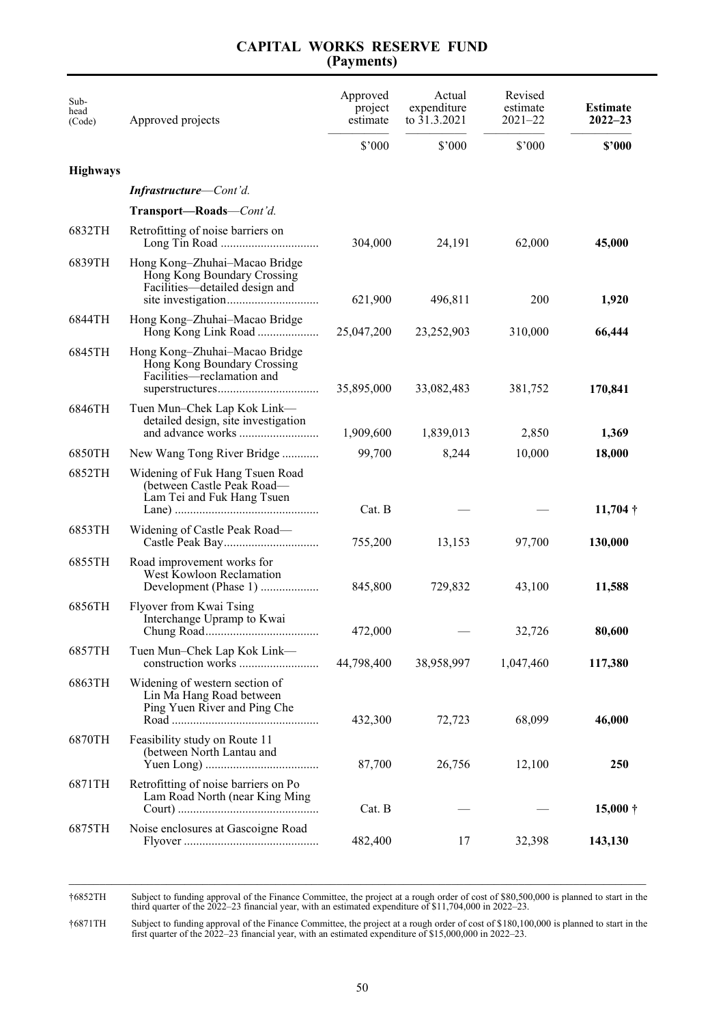| Sub-<br>head<br>(Code) | Approved projects                                                                              | Approved<br>project<br>estimate<br>\$'000 | Actual<br>expenditure<br>to $31.3.2021$<br>\$7000 | Revised<br>estimate<br>$2021 - 22$<br>\$'000 | <b>Estimate</b><br>$2022 - 23$<br>\$'000 |
|------------------------|------------------------------------------------------------------------------------------------|-------------------------------------------|---------------------------------------------------|----------------------------------------------|------------------------------------------|
| <b>Highways</b>        |                                                                                                |                                           |                                                   |                                              |                                          |
|                        | <b>Infrastructure</b> —Cont'd.                                                                 |                                           |                                                   |                                              |                                          |
|                        | Transport-Roads-Cont'd.                                                                        |                                           |                                                   |                                              |                                          |
| 6832TH                 | Retrofitting of noise barriers on                                                              | 304,000                                   | 24,191                                            | 62,000                                       | 45,000                                   |
| 6839TH                 | Hong Kong-Zhuhai-Macao Bridge<br>Hong Kong Boundary Crossing<br>Facilities-detailed design and | 621,900                                   | 496,811                                           | 200                                          | 1,920                                    |
| 6844TH                 | Hong Kong-Zhuhai-Macao Bridge                                                                  | 25,047,200                                | 23,252,903                                        | 310,000                                      | 66,444                                   |
| 6845TH                 | Hong Kong-Zhuhai-Macao Bridge<br>Hong Kong Boundary Crossing<br>Facilities—reclamation and     | 35,895,000                                | 33,082,483                                        | 381,752                                      | 170,841                                  |
| 6846TH                 | Tuen Mun–Chek Lap Kok Link—<br>detailed design, site investigation                             | 1,909,600                                 | 1,839,013                                         | 2,850                                        | 1,369                                    |
| 6850TH                 | New Wang Tong River Bridge                                                                     | 99,700                                    | 8,244                                             | 10,000                                       | 18,000                                   |
| 6852TH                 | Widening of Fuk Hang Tsuen Road<br>(between Castle Peak Road—<br>Lam Tei and Fuk Hang Tsuen    | Cat. B                                    |                                                   |                                              | $11,704$ †                               |
| 6853TH                 | Widening of Castle Peak Road-                                                                  | 755,200                                   | 13,153                                            | 97,700                                       | 130,000                                  |
| 6855TH                 | Road improvement works for<br>West Kowloon Reclamation<br>Development (Phase 1)                | 845,800                                   | 729,832                                           | 43,100                                       | 11,588                                   |
| 6856TH                 | Flyover from Kwai Tsing<br>Interchange Upramp to Kwai                                          | 472,000                                   |                                                   | 32,726                                       | 80,600                                   |
| 6857TH                 | Tuen Mun–Chek Lap Kok Link—                                                                    | 44,798,400                                | 38,958,997                                        | 1,047,460                                    | 117,380                                  |
| 6863TH                 | Widening of western section of<br>Lin Ma Hang Road between<br>Ping Yuen River and Ping Che     | 432,300                                   | 72,723                                            | 68,099                                       | 46,000                                   |
| 6870TH                 | Feasibility study on Route 11<br>(between North Lantau and                                     | 87,700                                    | 26,756                                            | 12,100                                       | <b>250</b>                               |
| 6871TH                 | Retrofitting of noise barriers on Po<br>Lam Road North (near King Ming                         | Cat. B                                    |                                                   |                                              | $15,000 \dagger$                         |
| 6875TH                 | Noise enclosures at Gascoigne Road                                                             | 482,400                                   | 17                                                | 32,398                                       | 143,130                                  |

†6852TH Subject to funding approval of the Finance Committee, the project at a rough order of cost of \$80,500,000 is planned to start in the third quarter of the 2022–23 financial year, with an estimated expenditure of \$11,704,000 in 2022–23.

†6871TH Subject to funding approval of the Finance Committee, the project at a rough order of cost of \$180,100,000 is planned to start in the first quarter of the 2022–23 financial year, with an estimated expenditure of \$1